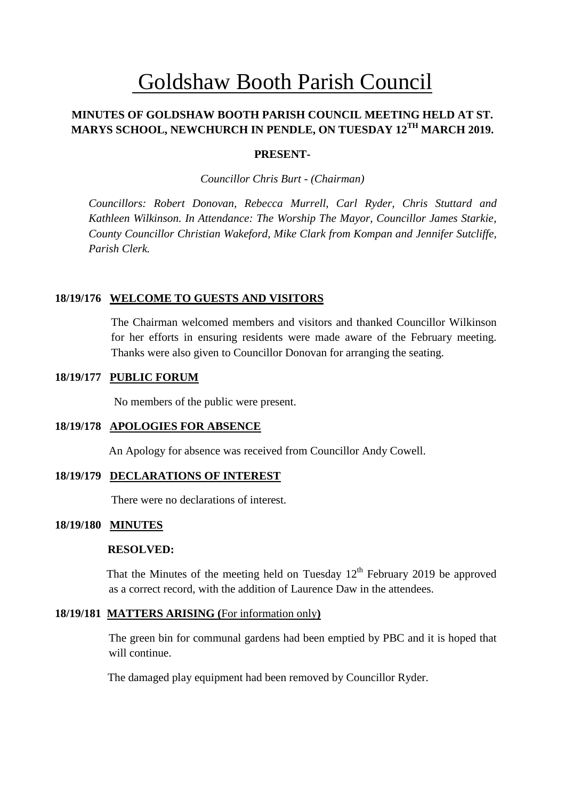# Goldshaw Booth Parish Council

# **MINUTES OF GOLDSHAW BOOTH PARISH COUNCIL MEETING HELD AT ST. MARYS SCHOOL, NEWCHURCH IN PENDLE, ON TUESDAY 12TH MARCH 2019.**

## **PRESENT-**

*Councillor Chris Burt - (Chairman)*

*Councillors: Robert Donovan, Rebecca Murrell, Carl Ryder, Chris Stuttard and Kathleen Wilkinson. In Attendance: The Worship The Mayor, Councillor James Starkie, County Councillor Christian Wakeford, Mike Clark from Kompan and Jennifer Sutcliffe, Parish Clerk.*

## **18/19/176 WELCOME TO GUESTS AND VISITORS**

The Chairman welcomed members and visitors and thanked Councillor Wilkinson for her efforts in ensuring residents were made aware of the February meeting. Thanks were also given to Councillor Donovan for arranging the seating.

#### **18/19/177 PUBLIC FORUM**

No members of the public were present.

#### **18/19/178 APOLOGIES FOR ABSENCE**

An Apology for absence was received from Councillor Andy Cowell.

## **18/19/179 DECLARATIONS OF INTEREST**

There were no declarations of interest.

#### **18/19/180 MINUTES**

#### **RESOLVED:**

That the Minutes of the meeting held on Tuesday  $12<sup>th</sup>$  February 2019 be approved as a correct record, with the addition of Laurence Daw in the attendees.

#### **18/19/181 MATTERS ARISING (**For information only**)**

The green bin for communal gardens had been emptied by PBC and it is hoped that will continue.

The damaged play equipment had been removed by Councillor Ryder.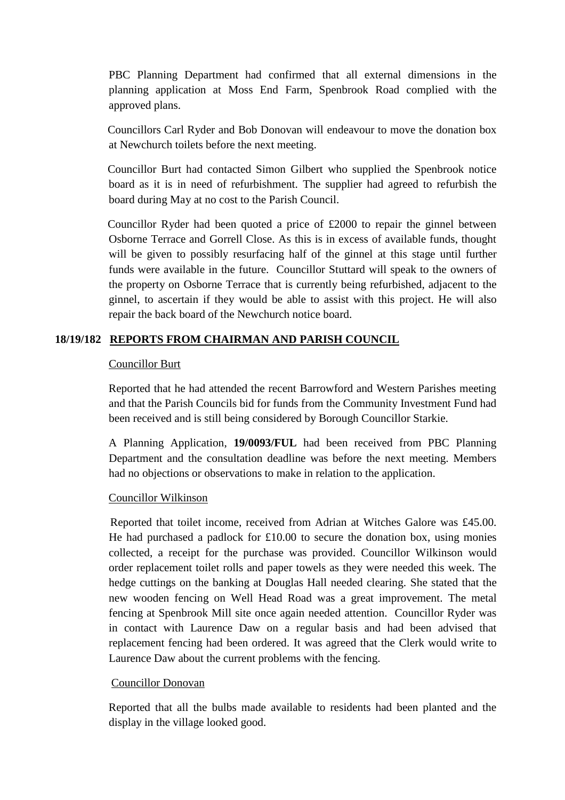PBC Planning Department had confirmed that all external dimensions in the planning application at Moss End Farm, Spenbrook Road complied with the approved plans.

Councillors Carl Ryder and Bob Donovan will endeavour to move the donation box at Newchurch toilets before the next meeting.

 Councillor Burt had contacted Simon Gilbert who supplied the Spenbrook notice board as it is in need of refurbishment. The supplier had agreed to refurbish the board during May at no cost to the Parish Council.

 Councillor Ryder had been quoted a price of £2000 to repair the ginnel between Osborne Terrace and Gorrell Close. As this is in excess of available funds, thought will be given to possibly resurfacing half of the ginnel at this stage until further funds were available in the future. Councillor Stuttard will speak to the owners of the property on Osborne Terrace that is currently being refurbished, adjacent to the ginnel, to ascertain if they would be able to assist with this project. He will also repair the back board of the Newchurch notice board.

# **18/19/182 REPORTS FROM CHAIRMAN AND PARISH COUNCIL**

# Councillor Burt

Reported that he had attended the recent Barrowford and Western Parishes meeting and that the Parish Councils bid for funds from the Community Investment Fund had been received and is still being considered by Borough Councillor Starkie.

A Planning Application, **19/0093/FUL** had been received from PBC Planning Department and the consultation deadline was before the next meeting. Members had no objections or observations to make in relation to the application.

## Councillor Wilkinson

 Reported that toilet income, received from Adrian at Witches Galore was £45.00. He had purchased a padlock for  $£10.00$  to secure the donation box, using monies collected, a receipt for the purchase was provided. Councillor Wilkinson would order replacement toilet rolls and paper towels as they were needed this week. The hedge cuttings on the banking at Douglas Hall needed clearing. She stated that the new wooden fencing on Well Head Road was a great improvement. The metal fencing at Spenbrook Mill site once again needed attention. Councillor Ryder was in contact with Laurence Daw on a regular basis and had been advised that replacement fencing had been ordered. It was agreed that the Clerk would write to Laurence Daw about the current problems with the fencing.

## Councillor Donovan

Reported that all the bulbs made available to residents had been planted and the display in the village looked good.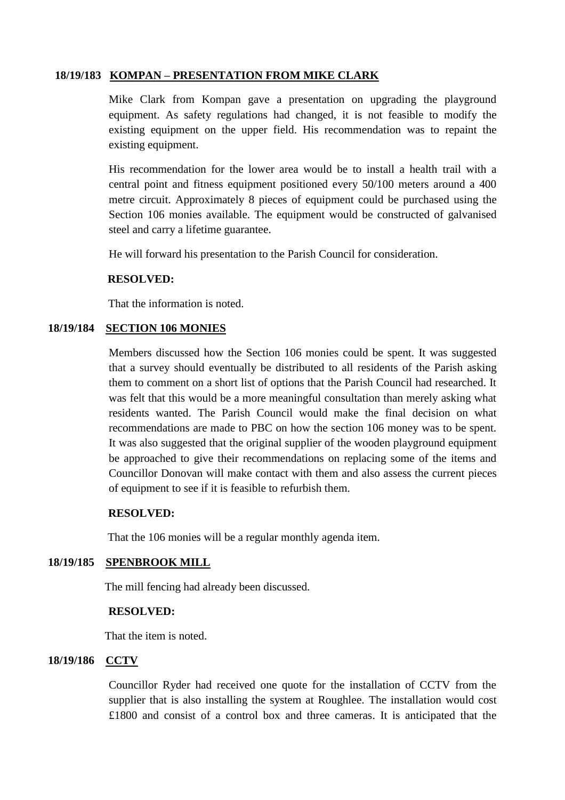# **18/19/183 KOMPAN – PRESENTATION FROM MIKE CLARK**

Mike Clark from Kompan gave a presentation on upgrading the playground equipment. As safety regulations had changed, it is not feasible to modify the existing equipment on the upper field. His recommendation was to repaint the existing equipment.

His recommendation for the lower area would be to install a health trail with a central point and fitness equipment positioned every 50/100 meters around a 400 metre circuit. Approximately 8 pieces of equipment could be purchased using the Section 106 monies available. The equipment would be constructed of galvanised steel and carry a lifetime guarantee.

He will forward his presentation to the Parish Council for consideration.

## **RESOLVED:**

That the information is noted.

# **18/19/184 SECTION 106 MONIES**

Members discussed how the Section 106 monies could be spent. It was suggested that a survey should eventually be distributed to all residents of the Parish asking them to comment on a short list of options that the Parish Council had researched. It was felt that this would be a more meaningful consultation than merely asking what residents wanted. The Parish Council would make the final decision on what recommendations are made to PBC on how the section 106 money was to be spent. It was also suggested that the original supplier of the wooden playground equipment be approached to give their recommendations on replacing some of the items and Councillor Donovan will make contact with them and also assess the current pieces of equipment to see if it is feasible to refurbish them.

## **RESOLVED:**

That the 106 monies will be a regular monthly agenda item.

# **18/19/185 SPENBROOK MILL**

The mill fencing had already been discussed.

## **RESOLVED:**

That the item is noted.

# **18/19/186 CCTV**

Councillor Ryder had received one quote for the installation of CCTV from the supplier that is also installing the system at Roughlee. The installation would cost £1800 and consist of a control box and three cameras. It is anticipated that the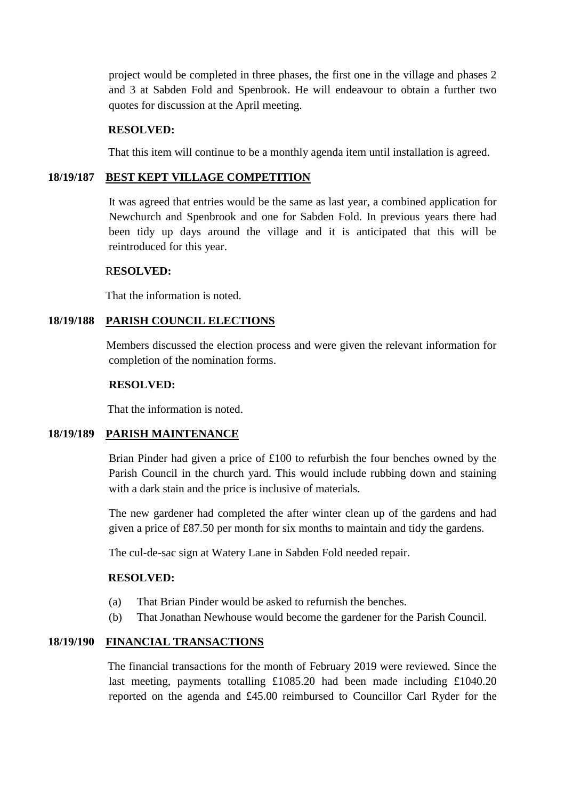project would be completed in three phases, the first one in the village and phases 2 and 3 at Sabden Fold and Spenbrook. He will endeavour to obtain a further two quotes for discussion at the April meeting.

## **RESOLVED:**

That this item will continue to be a monthly agenda item until installation is agreed.

# **18/19/187 BEST KEPT VILLAGE COMPETITION**

 It was agreed that entries would be the same as last year, a combined application for Newchurch and Spenbrook and one for Sabden Fold. In previous years there had been tidy up days around the village and it is anticipated that this will be reintroduced for this year.

# R**ESOLVED:**

That the information is noted.

# **18/19/188 PARISH COUNCIL ELECTIONS**

 Members discussed the election process and were given the relevant information for completion of the nomination forms.

## **RESOLVED:**

That the information is noted.

# **18/19/189 PARISH MAINTENANCE**

Brian Pinder had given a price of £100 to refurbish the four benches owned by the Parish Council in the church yard. This would include rubbing down and staining with a dark stain and the price is inclusive of materials.

The new gardener had completed the after winter clean up of the gardens and had given a price of £87.50 per month for six months to maintain and tidy the gardens.

The cul-de-sac sign at Watery Lane in Sabden Fold needed repair.

# **RESOLVED:**

- (a) That Brian Pinder would be asked to refurnish the benches.
- (b) That Jonathan Newhouse would become the gardener for the Parish Council.

# **18/19/190 FINANCIAL TRANSACTIONS**

 The financial transactions for the month of February 2019 were reviewed. Since the last meeting, payments totalling £1085.20 had been made including £1040.20 reported on the agenda and £45.00 reimbursed to Councillor Carl Ryder for the